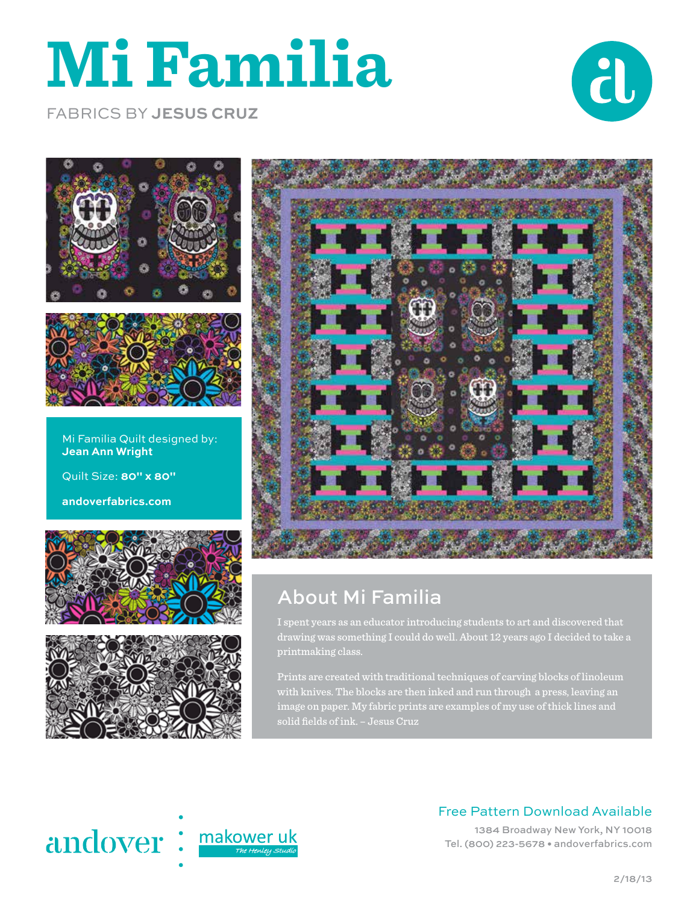# **Mi Familia**



FABRICS BY **JESUS CRUZ**





Mi Familia Quilt designed by: **Jean Ann Wright** Quilt Size: **80" x 80"**

**andoverfabrics.com**







### About Mi Familia

I spent years as an educator introducing students to art and discovered that drawing was something I could do well. About 12 years ago I decided to take a printmaking class.

Prints are created with traditional techniques of carving blocks of linoleum with knives. The blocks are then inked and run through a press, leaving an image on paper. My fabric prints are examples of my use of thick lines and solid fields of ink. – Jesus Cruz



#### Free Pattern Download Available

1384 Broadway New York, NY 10018 Tel. (800) 223-5678 • andoverfabrics.com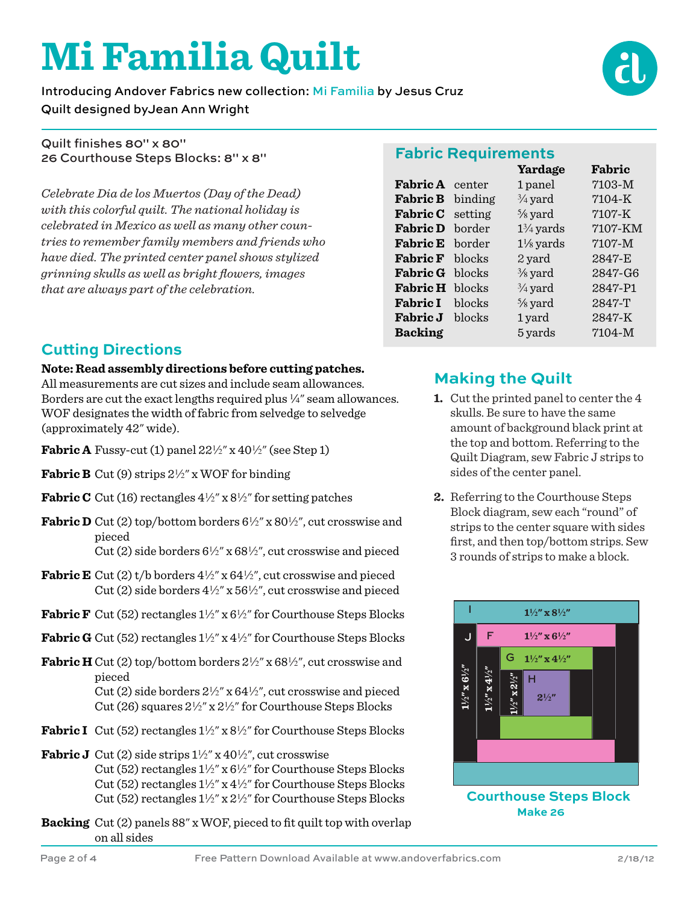# **Mi Familia Quilt**

Introducing Andover Fabrics new collection: Mi Familia by Jesus Cruz Quilt designed byJean Ann Wright

Quilt finishes 80" x 80" 26 Courthouse Steps Blocks: 8" x 8"

*Celebrate Dia de los Muertos (Day of the Dead) with this colorful quilt. The national holiday is celebrated in Mexico as well as many other countries to remember family members and friends who have died. The printed center panel shows stylized grinning skulls as well as bright flowers, images that are always part of the celebration.*

#### **Cutting Directions**

#### **Note: Read assembly directions before cutting patches.**

All measurements are cut sizes and include seam allowances. Borders are cut the exact lengths required plus  $\frac{1}{4}$ " seam allowances. WOF designates the width of fabric from selvedge to selvedge (approximately 42" wide).

- **Fabric A** Fussy-cut (1) panel  $22\frac{1}{2}$ " x  $40\frac{1}{2}$ " (see Step 1)
- **Fabric B** Cut (9) strips  $2\frac{1}{2}$ " x WOF for binding
- **Fabric C** Cut (16) rectangles  $4\frac{1}{2}$ " x  $8\frac{1}{2}$ " for setting patches
- **Fabric D** Cut (2) top/bottom borders  $6\frac{1}{2}$ " x  $80\frac{1}{2}$ ", cut crosswise and pieced
	- Cut (2) side borders  $6\frac{1}{2}$ " x  $68\frac{1}{2}$ ", cut crosswise and pieced
- **Fabric E** Cut (2)  $t/b$  borders  $4\frac{1}{2}$ " x  $64\frac{1}{2}$ ", cut crosswise and pieced Cut (2) side borders  $4\frac{1}{2}$ " x  $56\frac{1}{2}$ ", cut crosswise and pieced
- **Fabric F** Cut (52) rectangles  $1\frac{1}{2}$ " x  $6\frac{1}{2}$ " for Courthouse Steps Blocks
- **Fabric G** Cut (52) rectangles  $1\frac{1}{2}$ " x  $4\frac{1}{2}$ " for Courthouse Steps Blocks
- **Fabric H** Cut (2) top/bottom borders  $2\frac{1}{2}$ " x 68 $\frac{1}{2}$ ", cut crosswise and pieced

Cut (2) side borders  $2\frac{1}{2}$ " x  $64\frac{1}{2}$ ", cut crosswise and pieced Cut (26) squares  $2\frac{1}{2}$ " x  $2\frac{1}{2}$ " for Courthouse Steps Blocks

- **Fabric I** Cut (52) rectangles  $1\frac{1}{2}$ " x  $8\frac{1}{2}$ " for Courthouse Steps Blocks
- **Fabric J** Cut (2) side strips  $1\frac{1}{2}$ " x  $40\frac{1}{2}$ ", cut crosswise Cut (52) rectangles  $1\frac{1}{2}$ " x  $6\frac{1}{2}$ " for Courthouse Steps Blocks Cut (52) rectangles  $1\frac{1}{2}$ " x  $4\frac{1}{2}$ " for Courthouse Steps Blocks Cut (52) rectangles  $1\frac{1}{2}$ " x  $2\frac{1}{2}$ " for Courthouse Steps Blocks
- **Backing** Cut (2) panels 88" x WOF, pieced to fit quilt top with overlap on all sides

|                         |        | Yardage              | Fabric     |
|-------------------------|--------|----------------------|------------|
| <b>Fabric A</b> center  |        | 1 panel              | $7103 - M$ |
| <b>Fabric B</b> binding |        | $\frac{3}{4}$ yard   | $7104 - K$ |
| <b>Fabric C</b> setting |        | $\frac{5}{8}$ yard   | 7107-K     |
| <b>Fabric D</b> border  |        | $1\frac{3}{4}$ yards | 7107-KM    |
| <b>Fabric E</b> border  |        | $1\frac{1}{8}$ yards | $7107 - M$ |
| <b>Fabric F</b>         | blocks | 2 yard               | 2847-E     |
| <b>Fabric G</b> blocks  |        | $\frac{3}{8}$ yard   | 2847-G6    |
| <b>Fabric H</b> blocks  |        | $\frac{3}{4}$ yard   | 2847-P1    |
| <b>Fabric I</b>         | blocks | $\frac{5}{8}$ yard   | 2847-T     |
| <b>Fabric J</b>         | blocks | 1 yard               | 2847-K     |
| <b>Backing</b>          |        | 5 yards              | $7104 - M$ |

#### **Making the Quilt**

- **1.** Cut the printed panel to center the 4 skulls. Be sure to have the same amount of background black print at the top and bottom. Referring to the Quilt Diagram, sew Fabric J strips to sides of the center panel.
- **2.** Referring to the Courthouse Steps Block diagram, sew each "round" of strips to the center square with sides first, and then top/bottom strips. Sew 3 rounds of strips to make a block.



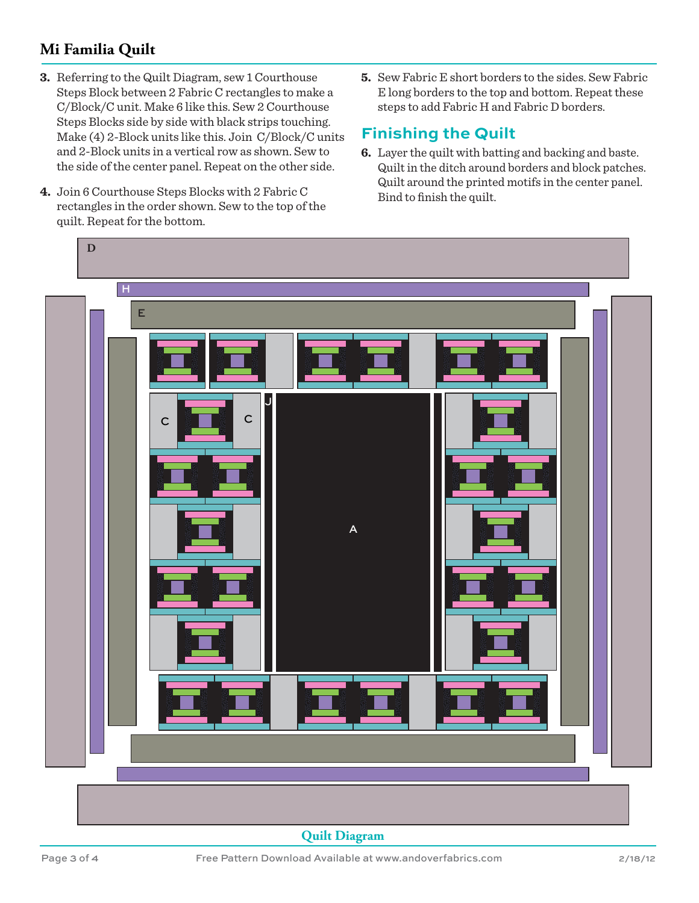#### **Mi Familia Quilt**

- **3.** Referring to the Quilt Diagram, sew 1 Courthouse Steps Block between 2 Fabric C rectangles to make a C/Block/C unit. Make 6 like this. Sew 2 Courthouse Steps Blocks side by side with black strips touching. Make (4) 2-Block units like this. Join C/Block/C units and 2-Block units in a vertical row as shown. Sew to the side of the center panel. Repeat on the other side.
- **4.** Join 6 Courthouse Steps Blocks with 2 Fabric C rectangles in the order shown. Sew to the top of the quilt. Repeat for the bottom.
- **5.** Sew Fabric E short borders to the sides. Sew Fabric E long borders to the top and bottom. Repeat these steps to add Fabric H and Fabric D borders.

#### **Finishing the Quilt**

**6.** Layer the quilt with batting and backing and baste. Quilt in the ditch around borders and block patches. Quilt around the printed motifs in the center panel. Bind to finish the quilt.



**Quilt Diagram**